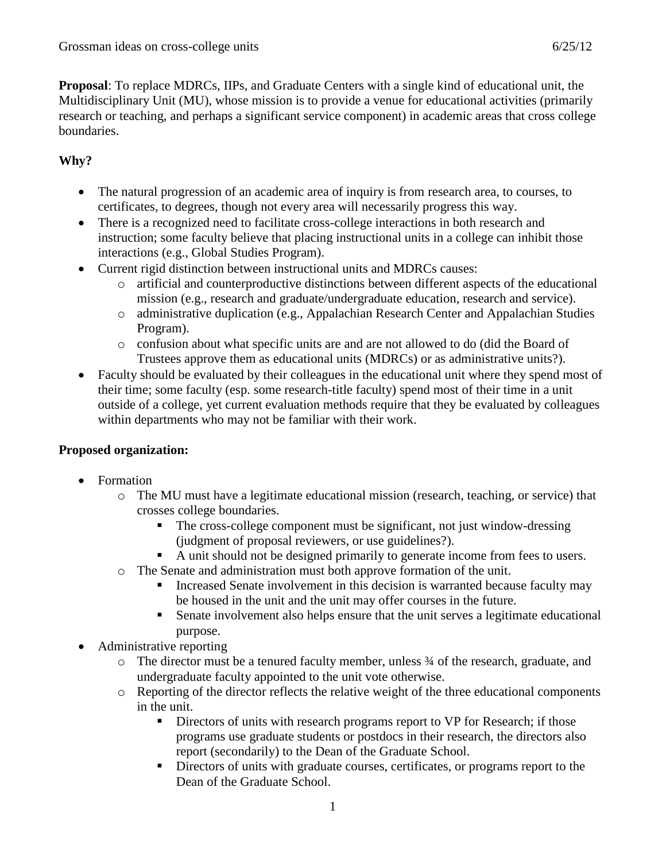**Proposal**: To replace MDRCs, IIPs, and Graduate Centers with a single kind of educational unit, the Multidisciplinary Unit (MU), whose mission is to provide a venue for educational activities (primarily research or teaching, and perhaps a significant service component) in academic areas that cross college boundaries.

## **Why?**

- The natural progression of an academic area of inquiry is from research area, to courses, to certificates, to degrees, though not every area will necessarily progress this way.
- There is a recognized need to facilitate cross-college interactions in both research and instruction; some faculty believe that placing instructional units in a college can inhibit those interactions (e.g., Global Studies Program).
- Current rigid distinction between instructional units and MDRCs causes:
	- o artificial and counterproductive distinctions between different aspects of the educational mission (e.g., research and graduate/undergraduate education, research and service).
	- o administrative duplication (e.g., Appalachian Research Center and Appalachian Studies Program).
	- o confusion about what specific units are and are not allowed to do (did the Board of Trustees approve them as educational units (MDRCs) or as administrative units?).
- Faculty should be evaluated by their colleagues in the educational unit where they spend most of their time; some faculty (esp. some research-title faculty) spend most of their time in a unit outside of a college, yet current evaluation methods require that they be evaluated by colleagues within departments who may not be familiar with their work.

## **Proposed organization:**

- Formation
	- o The MU must have a legitimate educational mission (research, teaching, or service) that crosses college boundaries.
		- The cross-college component must be significant, not just window-dressing (judgment of proposal reviewers, or use guidelines?).
		- A unit should not be designed primarily to generate income from fees to users.
	- o The Senate and administration must both approve formation of the unit.
		- Increased Senate involvement in this decision is warranted because faculty may be housed in the unit and the unit may offer courses in the future.
		- Senate involvement also helps ensure that the unit serves a legitimate educational purpose.
- Administrative reporting
	- o The director must be a tenured faculty member, unless ¾ of the research, graduate, and undergraduate faculty appointed to the unit vote otherwise.
	- o Reporting of the director reflects the relative weight of the three educational components in the unit.
		- Directors of units with research programs report to VP for Research; if those programs use graduate students or postdocs in their research, the directors also report (secondarily) to the Dean of the Graduate School.
		- Directors of units with graduate courses, certificates, or programs report to the Dean of the Graduate School.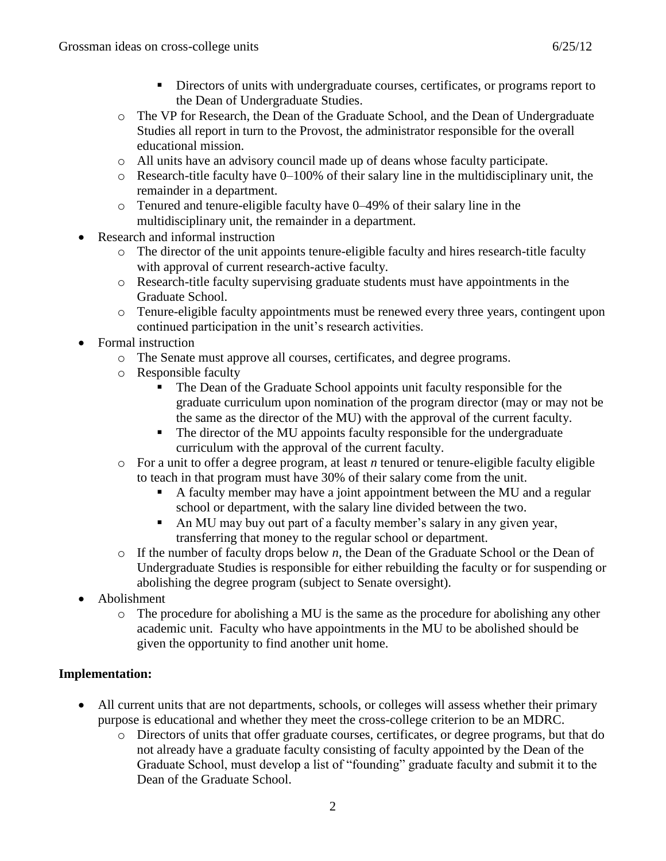- Directors of units with undergraduate courses, certificates, or programs report to the Dean of Undergraduate Studies.
- o The VP for Research, the Dean of the Graduate School, and the Dean of Undergraduate Studies all report in turn to the Provost, the administrator responsible for the overall educational mission.
- o All units have an advisory council made up of deans whose faculty participate.
- o Research-title faculty have 0–100% of their salary line in the multidisciplinary unit, the remainder in a department.
- o Tenured and tenure-eligible faculty have 0–49% of their salary line in the multidisciplinary unit, the remainder in a department.
- Research and informal instruction
	- o The director of the unit appoints tenure-eligible faculty and hires research-title faculty with approval of current research-active faculty.
	- o Research-title faculty supervising graduate students must have appointments in the Graduate School.
	- o Tenure-eligible faculty appointments must be renewed every three years, contingent upon continued participation in the unit's research activities.
- Formal instruction
	- o The Senate must approve all courses, certificates, and degree programs.
	- o Responsible faculty
		- The Dean of the Graduate School appoints unit faculty responsible for the graduate curriculum upon nomination of the program director (may or may not be the same as the director of the MU) with the approval of the current faculty.
		- The director of the MU appoints faculty responsible for the undergraduate curriculum with the approval of the current faculty.
	- o For a unit to offer a degree program, at least *n* tenured or tenure-eligible faculty eligible to teach in that program must have 30% of their salary come from the unit.
		- A faculty member may have a joint appointment between the MU and a regular school or department, with the salary line divided between the two.
		- An MU may buy out part of a faculty member's salary in any given year, transferring that money to the regular school or department.
	- o If the number of faculty drops below *n*, the Dean of the Graduate School or the Dean of Undergraduate Studies is responsible for either rebuilding the faculty or for suspending or abolishing the degree program (subject to Senate oversight).
- Abolishment
	- $\circ$  The procedure for abolishing a MU is the same as the procedure for abolishing any other academic unit. Faculty who have appointments in the MU to be abolished should be given the opportunity to find another unit home.

## **Implementation:**

- All current units that are not departments, schools, or colleges will assess whether their primary purpose is educational and whether they meet the cross-college criterion to be an MDRC.
	- o Directors of units that offer graduate courses, certificates, or degree programs, but that do not already have a graduate faculty consisting of faculty appointed by the Dean of the Graduate School, must develop a list of "founding" graduate faculty and submit it to the Dean of the Graduate School.